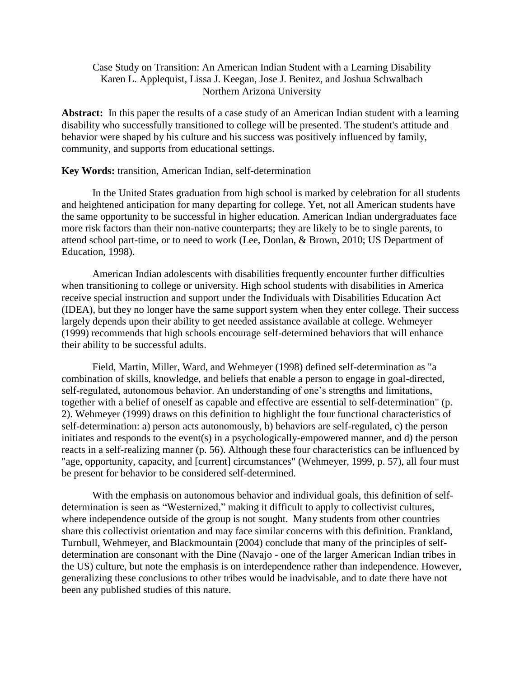# Case Study on Transition: An American Indian Student with a Learning Disability Karen L. Applequist, Lissa J. Keegan, Jose J. Benitez, and Joshua Schwalbach Northern Arizona University

**Abstract:** In this paper the results of a case study of an American Indian student with a learning disability who successfully transitioned to college will be presented. The student's attitude and behavior were shaped by his culture and his success was positively influenced by family, community, and supports from educational settings.

#### **Key Words:** transition, American Indian, self-determination

In the United States graduation from high school is marked by celebration for all students and heightened anticipation for many departing for college. Yet, not all American students have the same opportunity to be successful in higher education. American Indian undergraduates face more risk factors than their non-native counterparts; they are likely to be to single parents, to attend school part-time, or to need to work (Lee, Donlan, & Brown, 2010; US Department of Education, 1998).

American Indian adolescents with disabilities frequently encounter further difficulties when transitioning to college or university. High school students with disabilities in America receive special instruction and support under the Individuals with Disabilities Education Act (IDEA), but they no longer have the same support system when they enter college. Their success largely depends upon their ability to get needed assistance available at college. Wehmeyer (1999) recommends that high schools encourage self-determined behaviors that will enhance their ability to be successful adults.

Field, Martin, Miller, Ward, and Wehmeyer (1998) defined self-determination as "a combination of skills, knowledge, and beliefs that enable a person to engage in goal-directed, self-regulated, autonomous behavior. An understanding of one's strengths and limitations, together with a belief of oneself as capable and effective are essential to self-determination" (p. 2). Wehmeyer (1999) draws on this definition to highlight the four functional characteristics of self-determination: a) person acts autonomously, b) behaviors are self-regulated, c) the person initiates and responds to the event(s) in a psychologically-empowered manner, and d) the person reacts in a self-realizing manner (p. 56). Although these four characteristics can be influenced by "age, opportunity, capacity, and [current] circumstances" (Wehmeyer, 1999, p. 57), all four must be present for behavior to be considered self-determined.

With the emphasis on autonomous behavior and individual goals, this definition of selfdetermination is seen as "Westernized," making it difficult to apply to collectivist cultures, where independence outside of the group is not sought. Many students from other countries share this collectivist orientation and may face similar concerns with this definition. Frankland, Turnbull, Wehmeyer, and Blackmountain (2004) conclude that many of the principles of selfdetermination are consonant with the Dine (Navajo - one of the larger American Indian tribes in the US) culture, but note the emphasis is on interdependence rather than independence. However, generalizing these conclusions to other tribes would be inadvisable, and to date there have not been any published studies of this nature.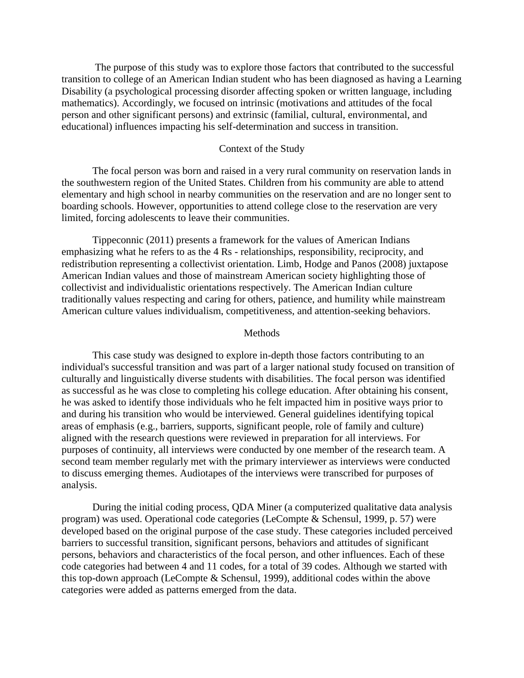The purpose of this study was to explore those factors that contributed to the successful transition to college of an American Indian student who has been diagnosed as having a Learning Disability (a psychological processing disorder affecting spoken or written language, including mathematics). Accordingly, we focused on intrinsic (motivations and attitudes of the focal person and other significant persons) and extrinsic (familial, cultural, environmental, and educational) influences impacting his self-determination and success in transition.

#### Context of the Study

The focal person was born and raised in a very rural community on reservation lands in the southwestern region of the United States. Children from his community are able to attend elementary and high school in nearby communities on the reservation and are no longer sent to boarding schools. However, opportunities to attend college close to the reservation are very limited, forcing adolescents to leave their communities.

Tippeconnic (2011) presents a framework for the values of American Indians emphasizing what he refers to as the 4 Rs - relationships, responsibility, reciprocity, and redistribution representing a collectivist orientation. Limb, Hodge and Panos (2008) juxtapose American Indian values and those of mainstream American society highlighting those of collectivist and individualistic orientations respectively. The American Indian culture traditionally values respecting and caring for others, patience, and humility while mainstream American culture values individualism, competitiveness, and attention-seeking behaviors.

#### **Methods**

This case study was designed to explore in-depth those factors contributing to an individual's successful transition and was part of a larger national study focused on transition of culturally and linguistically diverse students with disabilities. The focal person was identified as successful as he was close to completing his college education. After obtaining his consent, he was asked to identify those individuals who he felt impacted him in positive ways prior to and during his transition who would be interviewed. General guidelines identifying topical areas of emphasis (e.g., barriers, supports, significant people, role of family and culture) aligned with the research questions were reviewed in preparation for all interviews. For purposes of continuity, all interviews were conducted by one member of the research team. A second team member regularly met with the primary interviewer as interviews were conducted to discuss emerging themes. Audiotapes of the interviews were transcribed for purposes of analysis.

During the initial coding process, QDA Miner (a computerized qualitative data analysis program) was used. Operational code categories (LeCompte & Schensul, 1999, p. 57) were developed based on the original purpose of the case study. These categories included perceived barriers to successful transition, significant persons, behaviors and attitudes of significant persons, behaviors and characteristics of the focal person, and other influences. Each of these code categories had between 4 and 11 codes, for a total of 39 codes. Although we started with this top-down approach (LeCompte & Schensul, 1999), additional codes within the above categories were added as patterns emerged from the data.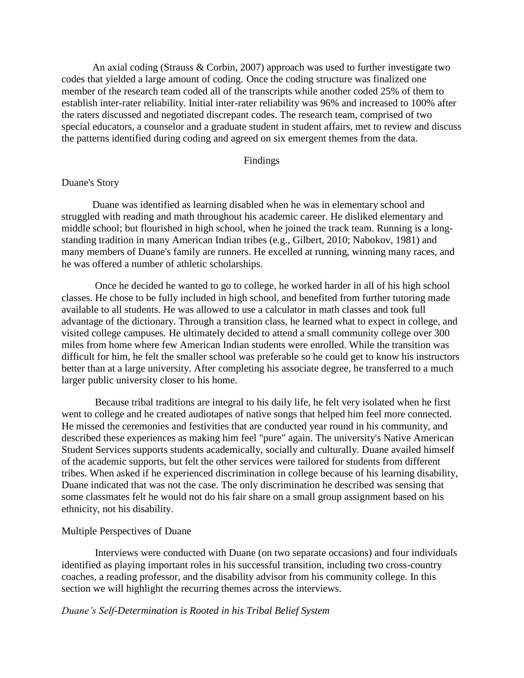An axial coding (Strauss & Corbin, 2007) approach was used to further investigate two codes that yielded a large amount of coding. Once the coding structure was finalized one member of the research team coded all of the transcripts while another coded 25% of them to establish inter-rater reliability. Initial inter-rater reliability was 96% and increased to 100% after the raters discussed and negotiated discrepant codes. The research team, comprised of two special educators, a counselor and a graduate student in student affairs, met to review and discuss the patterns identified during coding and agreed on six emergent themes from the data.

### Findings

## Duane's Story

Duane was identified as learning disabled when he was in elementary school and struggled with reading and math throughout his academic career. He disliked elementary and middle school; but flourished in high school, when he joined the track team. Running is a longstanding tradition in many American Indian tribes (e.g., Gilbert, 2010; Nabokov, 1981) and many members of Duane's family are runners. He excelled at running, winning many races, and he was offered a number of athletic scholarships.

Once he decided he wanted to go to college, he worked harder in all of his high school classes. He chose to be fully included in high school, and benefited from further tutoring made available to all students. He was allowed to use a calculator in math classes and took full advantage of the dictionary. Through a transition class, he learned what to expect in college, and visited college campuses. He ultimately decided to attend a small community college over 300 miles from home where few American Indian students were enrolled. While the transition was difficult for him, he felt the smaller school was preferable so he could get to know his instructors better than at a large university. After completing his associate degree, he transferred to a much larger public university closer to his home.

Because tribal traditions are integral to his daily life, he felt very isolated when he first went to college and he created audiotapes of native songs that helped him feel more connected. He missed the ceremonies and festivities that are conducted year round in his community, and described these experiences as making him feel "pure" again. The university's Native American Student Services supports students academically, socially and culturally. Duane availed himself of the academic supports, but felt the other services were tailored for students from different tribes. When asked if he experienced discrimination in college because of his learning disability, Duane indicated that was not the case. The only discrimination he described was sensing that some classmates felt he would not do his fair share on a small group assignment based on his ethnicity, not his disability.

#### Multiple Perspectives of Duane

Interviews were conducted with Duane (on two separate occasions) and four individuals identified as playing important roles in his successful transition, including two cross-country coaches, a reading professor, and the disability advisor from his community college. In this section we will highlight the recurring themes across the interviews.

#### *Duane's Self-Determination is Rooted in his Tribal Belief System*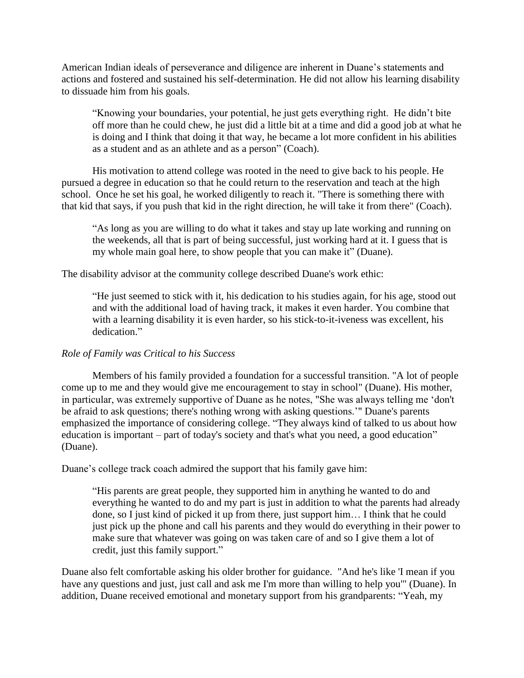American Indian ideals of perseverance and diligence are inherent in Duane's statements and actions and fostered and sustained his self-determination. He did not allow his learning disability to dissuade him from his goals.

"Knowing your boundaries, your potential, he just gets everything right. He didn't bite off more than he could chew, he just did a little bit at a time and did a good job at what he is doing and I think that doing it that way, he became a lot more confident in his abilities as a student and as an athlete and as a person" (Coach).

His motivation to attend college was rooted in the need to give back to his people. He pursued a degree in education so that he could return to the reservation and teach at the high school. Once he set his goal, he worked diligently to reach it. "There is something there with that kid that says, if you push that kid in the right direction, he will take it from there" (Coach).

"As long as you are willing to do what it takes and stay up late working and running on the weekends, all that is part of being successful, just working hard at it. I guess that is my whole main goal here, to show people that you can make it" (Duane).

The disability advisor at the community college described Duane's work ethic:

"He just seemed to stick with it, his dedication to his studies again, for his age, stood out and with the additional load of having track, it makes it even harder. You combine that with a learning disability it is even harder, so his stick-to-it-iveness was excellent, his dedication."

## *Role of Family was Critical to his Success*

Members of his family provided a foundation for a successful transition. "A lot of people come up to me and they would give me encouragement to stay in school" (Duane). His mother, in particular, was extremely supportive of Duane as he notes, "She was always telling me 'don't be afraid to ask questions; there's nothing wrong with asking questions.'" Duane's parents emphasized the importance of considering college. "They always kind of talked to us about how education is important – part of today's society and that's what you need, a good education" (Duane).

Duane's college track coach admired the support that his family gave him:

"His parents are great people, they supported him in anything he wanted to do and everything he wanted to do and my part is just in addition to what the parents had already done, so I just kind of picked it up from there, just support him… I think that he could just pick up the phone and call his parents and they would do everything in their power to make sure that whatever was going on was taken care of and so I give them a lot of credit, just this family support."

Duane also felt comfortable asking his older brother for guidance. "And he's like 'I mean if you have any questions and just, just call and ask me I'm more than willing to help you'" (Duane). In addition, Duane received emotional and monetary support from his grandparents: "Yeah, my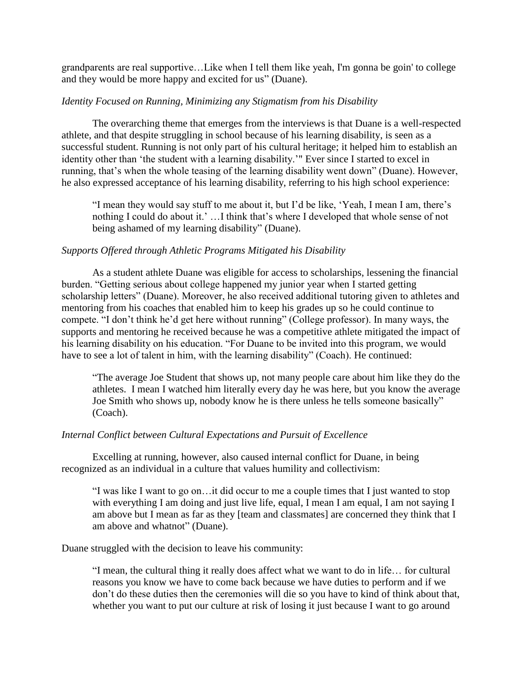grandparents are real supportive…Like when I tell them like yeah, I'm gonna be goin' to college and they would be more happy and excited for us" (Duane).

# *Identity Focused on Running, Minimizing any Stigmatism from his Disability*

The overarching theme that emerges from the interviews is that Duane is a well-respected athlete, and that despite struggling in school because of his learning disability, is seen as a successful student. Running is not only part of his cultural heritage; it helped him to establish an identity other than 'the student with a learning disability.'" Ever since I started to excel in running, that's when the whole teasing of the learning disability went down" (Duane). However, he also expressed acceptance of his learning disability, referring to his high school experience:

"I mean they would say stuff to me about it, but I'd be like, 'Yeah, I mean I am, there's nothing I could do about it.' …I think that's where I developed that whole sense of not being ashamed of my learning disability" (Duane).

# *Supports Offered through Athletic Programs Mitigated his Disability*

As a student athlete Duane was eligible for access to scholarships, lessening the financial burden. "Getting serious about college happened my junior year when I started getting scholarship letters" (Duane). Moreover, he also received additional tutoring given to athletes and mentoring from his coaches that enabled him to keep his grades up so he could continue to compete. "I don't think he'd get here without running" (College professor). In many ways, the supports and mentoring he received because he was a competitive athlete mitigated the impact of his learning disability on his education. "For Duane to be invited into this program, we would have to see a lot of talent in him, with the learning disability" (Coach). He continued:

"The average Joe Student that shows up, not many people care about him like they do the athletes. I mean I watched him literally every day he was here, but you know the average Joe Smith who shows up, nobody know he is there unless he tells someone basically" (Coach).

## *Internal Conflict between Cultural Expectations and Pursuit of Excellence*

Excelling at running, however, also caused internal conflict for Duane, in being recognized as an individual in a culture that values humility and collectivism:

"I was like I want to go on…it did occur to me a couple times that I just wanted to stop with everything I am doing and just live life, equal, I mean I am equal, I am not saying I am above but I mean as far as they [team and classmates] are concerned they think that I am above and whatnot" (Duane).

Duane struggled with the decision to leave his community:

"I mean, the cultural thing it really does affect what we want to do in life… for cultural reasons you know we have to come back because we have duties to perform and if we don't do these duties then the ceremonies will die so you have to kind of think about that, whether you want to put our culture at risk of losing it just because I want to go around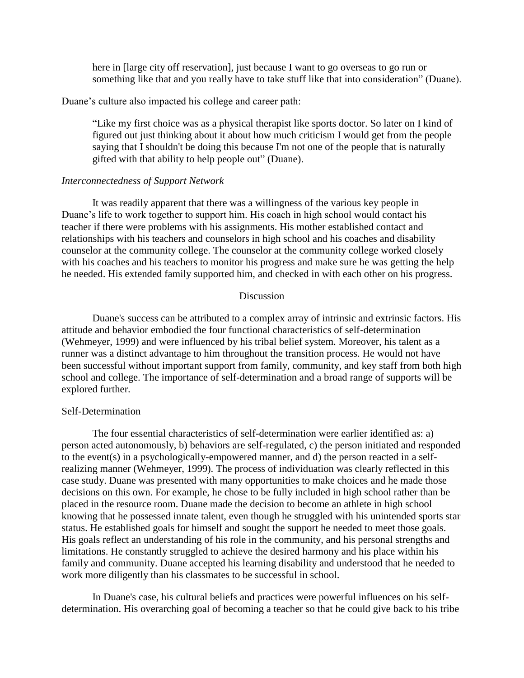here in [large city off reservation], just because I want to go overseas to go run or something like that and you really have to take stuff like that into consideration" (Duane).

Duane's culture also impacted his college and career path:

"Like my first choice was as a physical therapist like sports doctor. So later on I kind of figured out just thinking about it about how much criticism I would get from the people saying that I shouldn't be doing this because I'm not one of the people that is naturally gifted with that ability to help people out" (Duane).

## *Interconnectedness of Support Network*

It was readily apparent that there was a willingness of the various key people in Duane's life to work together to support him. His coach in high school would contact his teacher if there were problems with his assignments. His mother established contact and relationships with his teachers and counselors in high school and his coaches and disability counselor at the community college. The counselor at the community college worked closely with his coaches and his teachers to monitor his progress and make sure he was getting the help he needed. His extended family supported him, and checked in with each other on his progress.

## **Discussion**

Duane's success can be attributed to a complex array of intrinsic and extrinsic factors. His attitude and behavior embodied the four functional characteristics of self-determination (Wehmeyer, 1999) and were influenced by his tribal belief system. Moreover, his talent as a runner was a distinct advantage to him throughout the transition process. He would not have been successful without important support from family, community, and key staff from both high school and college. The importance of self-determination and a broad range of supports will be explored further.

## Self-Determination

The four essential characteristics of self-determination were earlier identified as: a) person acted autonomously, b) behaviors are self-regulated, c) the person initiated and responded to the event(s) in a psychologically-empowered manner, and d) the person reacted in a selfrealizing manner (Wehmeyer, 1999). The process of individuation was clearly reflected in this case study. Duane was presented with many opportunities to make choices and he made those decisions on this own. For example, he chose to be fully included in high school rather than be placed in the resource room. Duane made the decision to become an athlete in high school knowing that he possessed innate talent, even though he struggled with his unintended sports star status. He established goals for himself and sought the support he needed to meet those goals. His goals reflect an understanding of his role in the community, and his personal strengths and limitations. He constantly struggled to achieve the desired harmony and his place within his family and community. Duane accepted his learning disability and understood that he needed to work more diligently than his classmates to be successful in school.

In Duane's case, his cultural beliefs and practices were powerful influences on his selfdetermination. His overarching goal of becoming a teacher so that he could give back to his tribe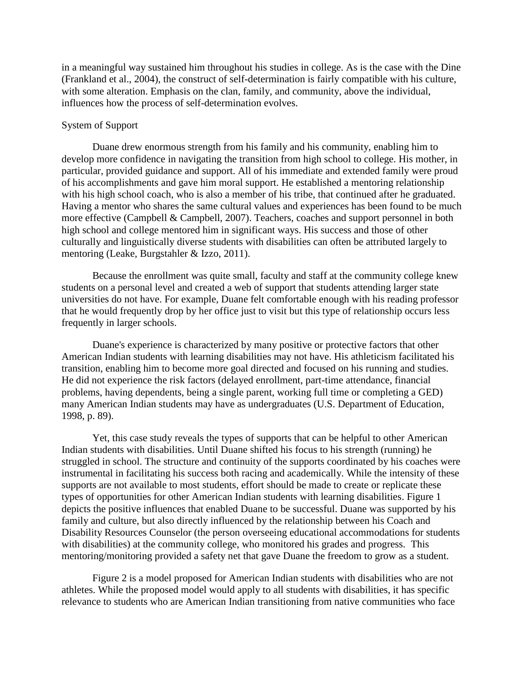in a meaningful way sustained him throughout his studies in college. As is the case with the Dine (Frankland et al., 2004), the construct of self-determination is fairly compatible with his culture, with some alteration. Emphasis on the clan, family, and community, above the individual, influences how the process of self-determination evolves.

## System of Support

Duane drew enormous strength from his family and his community, enabling him to develop more confidence in navigating the transition from high school to college. His mother, in particular, provided guidance and support. All of his immediate and extended family were proud of his accomplishments and gave him moral support. He established a mentoring relationship with his high school coach, who is also a member of his tribe, that continued after he graduated. Having a mentor who shares the same cultural values and experiences has been found to be much more effective (Campbell & Campbell, 2007). Teachers, coaches and support personnel in both high school and college mentored him in significant ways. His success and those of other culturally and linguistically diverse students with disabilities can often be attributed largely to mentoring (Leake, Burgstahler & Izzo, 2011).

Because the enrollment was quite small, faculty and staff at the community college knew students on a personal level and created a web of support that students attending larger state universities do not have. For example, Duane felt comfortable enough with his reading professor that he would frequently drop by her office just to visit but this type of relationship occurs less frequently in larger schools.

Duane's experience is characterized by many positive or protective factors that other American Indian students with learning disabilities may not have. His athleticism facilitated his transition, enabling him to become more goal directed and focused on his running and studies. He did not experience the risk factors (delayed enrollment, part-time attendance, financial problems, having dependents, being a single parent, working full time or completing a GED) many American Indian students may have as undergraduates (U.S. Department of Education, 1998, p. 89).

Yet, this case study reveals the types of supports that can be helpful to other American Indian students with disabilities. Until Duane shifted his focus to his strength (running) he struggled in school. The structure and continuity of the supports coordinated by his coaches were instrumental in facilitating his success both racing and academically. While the intensity of these supports are not available to most students, effort should be made to create or replicate these types of opportunities for other American Indian students with learning disabilities. Figure 1 depicts the positive influences that enabled Duane to be successful. Duane was supported by his family and culture, but also directly influenced by the relationship between his Coach and Disability Resources Counselor (the person overseeing educational accommodations for students with disabilities) at the community college, who monitored his grades and progress. This mentoring/monitoring provided a safety net that gave Duane the freedom to grow as a student.

Figure 2 is a model proposed for American Indian students with disabilities who are not athletes. While the proposed model would apply to all students with disabilities, it has specific relevance to students who are American Indian transitioning from native communities who face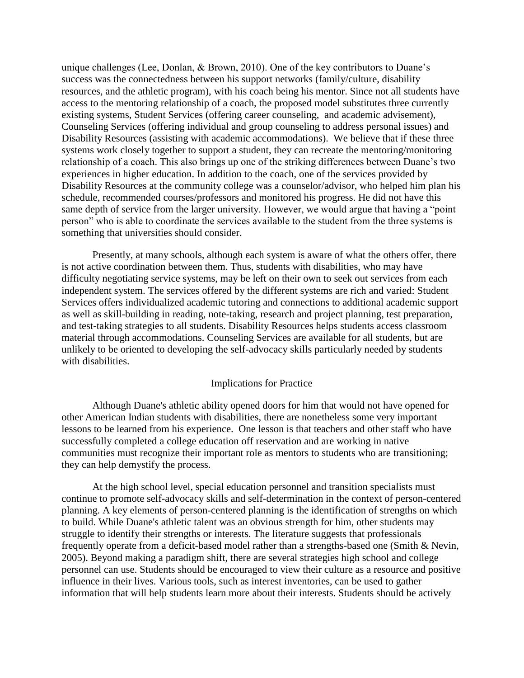unique challenges (Lee, Donlan, & Brown, 2010). One of the key contributors to Duane's success was the connectedness between his support networks (family/culture, disability resources, and the athletic program), with his coach being his mentor. Since not all students have access to the mentoring relationship of a coach, the proposed model substitutes three currently existing systems, Student Services (offering career counseling, and academic advisement), Counseling Services (offering individual and group counseling to address personal issues) and Disability Resources (assisting with academic accommodations). We believe that if these three systems work closely together to support a student, they can recreate the mentoring/monitoring relationship of a coach. This also brings up one of the striking differences between Duane's two experiences in higher education. In addition to the coach, one of the services provided by Disability Resources at the community college was a counselor/advisor, who helped him plan his schedule, recommended courses/professors and monitored his progress. He did not have this same depth of service from the larger university. However, we would argue that having a "point person" who is able to coordinate the services available to the student from the three systems is something that universities should consider.

Presently, at many schools, although each system is aware of what the others offer, there is not active coordination between them. Thus, students with disabilities, who may have difficulty negotiating service systems, may be left on their own to seek out services from each independent system. The services offered by the different systems are rich and varied: Student Services offers individualized academic tutoring and connections to additional academic support as well as skill-building in reading, note-taking, research and project planning, test preparation, and test-taking strategies to all students. Disability Resources helps students access classroom material through accommodations. Counseling Services are available for all students, but are unlikely to be oriented to developing the self-advocacy skills particularly needed by students with disabilities.

## Implications for Practice

Although Duane's athletic ability opened doors for him that would not have opened for other American Indian students with disabilities, there are nonetheless some very important lessons to be learned from his experience. One lesson is that teachers and other staff who have successfully completed a college education off reservation and are working in native communities must recognize their important role as mentors to students who are transitioning; they can help demystify the process.

At the high school level, special education personnel and transition specialists must continue to promote self-advocacy skills and self-determination in the context of person-centered planning. A key elements of person-centered planning is the identification of strengths on which to build. While Duane's athletic talent was an obvious strength for him, other students may struggle to identify their strengths or interests. The literature suggests that professionals frequently operate from a deficit-based model rather than a strengths-based one (Smith & Nevin, 2005). Beyond making a paradigm shift, there are several strategies high school and college personnel can use. Students should be encouraged to view their culture as a resource and positive influence in their lives. Various tools, such as interest inventories, can be used to gather information that will help students learn more about their interests. Students should be actively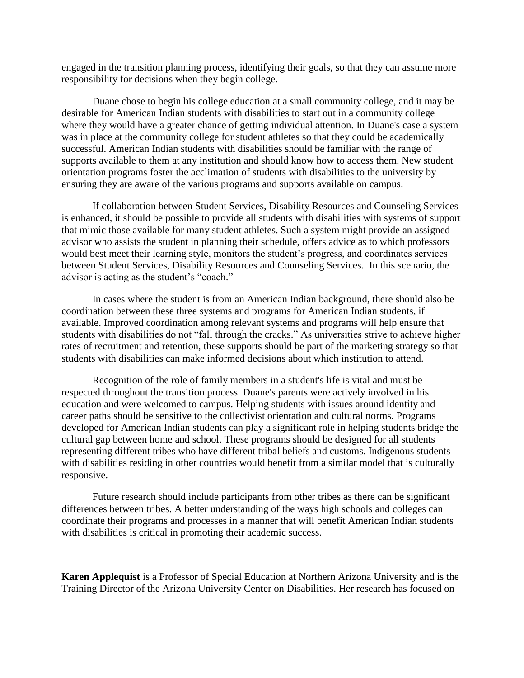engaged in the transition planning process, identifying their goals, so that they can assume more responsibility for decisions when they begin college.

Duane chose to begin his college education at a small community college, and it may be desirable for American Indian students with disabilities to start out in a community college where they would have a greater chance of getting individual attention. In Duane's case a system was in place at the community college for student athletes so that they could be academically successful. American Indian students with disabilities should be familiar with the range of supports available to them at any institution and should know how to access them. New student orientation programs foster the acclimation of students with disabilities to the university by ensuring they are aware of the various programs and supports available on campus.

If collaboration between Student Services, Disability Resources and Counseling Services is enhanced, it should be possible to provide all students with disabilities with systems of support that mimic those available for many student athletes. Such a system might provide an assigned advisor who assists the student in planning their schedule, offers advice as to which professors would best meet their learning style, monitors the student's progress, and coordinates services between Student Services, Disability Resources and Counseling Services. In this scenario, the advisor is acting as the student's "coach."

In cases where the student is from an American Indian background, there should also be coordination between these three systems and programs for American Indian students, if available. Improved coordination among relevant systems and programs will help ensure that students with disabilities do not "fall through the cracks." As universities strive to achieve higher rates of recruitment and retention, these supports should be part of the marketing strategy so that students with disabilities can make informed decisions about which institution to attend.

Recognition of the role of family members in a student's life is vital and must be respected throughout the transition process. Duane's parents were actively involved in his education and were welcomed to campus. Helping students with issues around identity and career paths should be sensitive to the collectivist orientation and cultural norms. Programs developed for American Indian students can play a significant role in helping students bridge the cultural gap between home and school. These programs should be designed for all students representing different tribes who have different tribal beliefs and customs. Indigenous students with disabilities residing in other countries would benefit from a similar model that is culturally responsive.

Future research should include participants from other tribes as there can be significant differences between tribes. A better understanding of the ways high schools and colleges can coordinate their programs and processes in a manner that will benefit American Indian students with disabilities is critical in promoting their academic success.

**Karen Applequist** is a Professor of Special Education at Northern Arizona University and is the Training Director of the Arizona University Center on Disabilities. Her research has focused on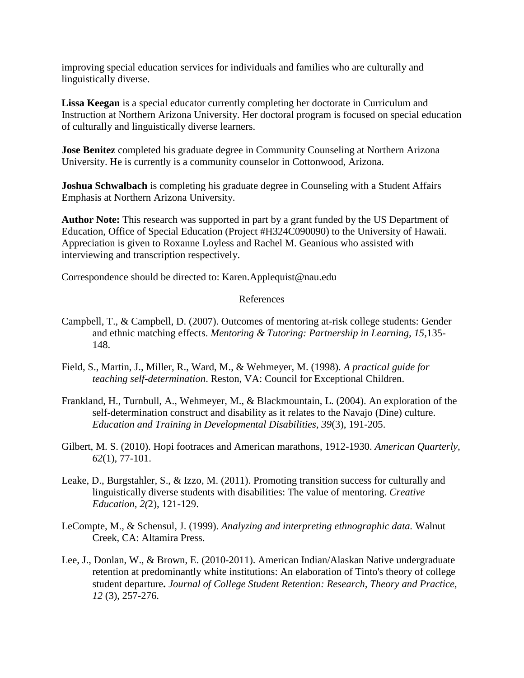improving special education services for individuals and families who are culturally and linguistically diverse.

**Lissa Keegan** is a special educator currently completing her doctorate in Curriculum and Instruction at Northern Arizona University. Her doctoral program is focused on special education of culturally and linguistically diverse learners.

**Jose Benitez** completed his graduate degree in Community Counseling at Northern Arizona University. He is currently is a community counselor in Cottonwood, Arizona.

**Joshua Schwalbach** is completing his graduate degree in Counseling with a Student Affairs Emphasis at Northern Arizona University.

**Author Note:** This research was supported in part by a grant funded by the US Department of Education, Office of Special Education (Project #H324C090090) to the University of Hawaii. Appreciation is given to Roxanne Loyless and Rachel M. Geanious who assisted with interviewing and transcription respectively.

Correspondence should be directed to: Karen.Applequist@nau.edu

## References

- Campbell, T., & Campbell, D. (2007). Outcomes of mentoring at-risk college students: Gender and ethnic matching effects. *Mentoring & Tutoring: Partnership in Learning, 15,*135- 148.
- Field, S., Martin, J., Miller, R., Ward, M., & Wehmeyer, M. (1998). *A practical guide for teaching self-determination*. Reston, VA: Council for Exceptional Children.
- Frankland, H., Turnbull, A., Wehmeyer, M., & Blackmountain, L. (2004). An exploration of the self-determination construct and disability as it relates to the Navajo (Dine) culture. *Education and Training in Developmental Disabilities, 39*(3), 191-205.
- Gilbert, M. S. (2010). Hopi footraces and American marathons, 1912-1930. *American Quarterly, 62*(1), 77-101.
- Leake, D., Burgstahler, S., & Izzo, M. (2011). Promoting transition success for culturally and linguistically diverse students with disabilities: The value of mentoring. *Creative Education, 2(*2), 121-129.
- LeCompte, M., & Schensul, J. (1999). *Analyzing and interpreting ethnographic data.* Walnut Creek, CA: Altamira Press.
- Lee, J., Donlan, W., & Brown, E. (2010-2011). American Indian/Alaskan Native undergraduate retention at predominantly white institutions: An elaboration of Tinto's theory of college student departure**.** *Journal of College Student Retention: Research, Theory and Practice, 12* (3), 257-276.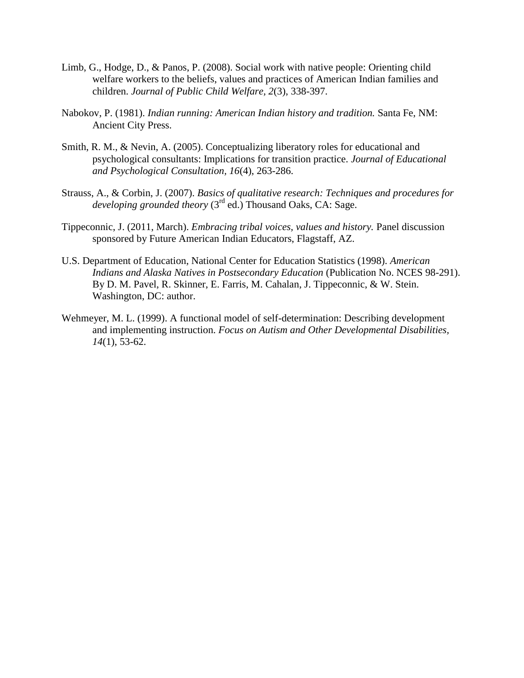- Limb, G., Hodge, D., & Panos, P. (2008). Social work with native people: Orienting child welfare workers to the beliefs, values and practices of American Indian families and children. *Journal of Public Child Welfare, 2*(3), 338-397.
- Nabokov, P. (1981). *Indian running: American Indian history and tradition.* Santa Fe, NM: Ancient City Press.
- Smith, R. M., & Nevin, A. (2005). Conceptualizing liberatory roles for educational and psychological consultants: Implications for transition practice. *Journal of Educational and Psychological Consultation, 16*(4), 263-286.
- Strauss, A., & Corbin, J. (2007). *Basics of qualitative research: Techniques and procedures for developing grounded theory* (3<sup>rd</sup> ed.) Thousand Oaks, CA: Sage.
- Tippeconnic, J. (2011, March). *Embracing tribal voices, values and history.* Panel discussion sponsored by Future American Indian Educators, Flagstaff, AZ.
- U.S. Department of Education, National Center for Education Statistics (1998). *American Indians and Alaska Natives in Postsecondary Education* (Publication No. NCES 98-291). By D. M. Pavel, R. Skinner, E. Farris, M. Cahalan, J. Tippeconnic, & W. Stein. Washington, DC: author.
- Wehmeyer, M. L. (1999). A functional model of self-determination: Describing development and implementing instruction. *Focus on Autism and Other Developmental Disabilities, 14*(1), 53-62.